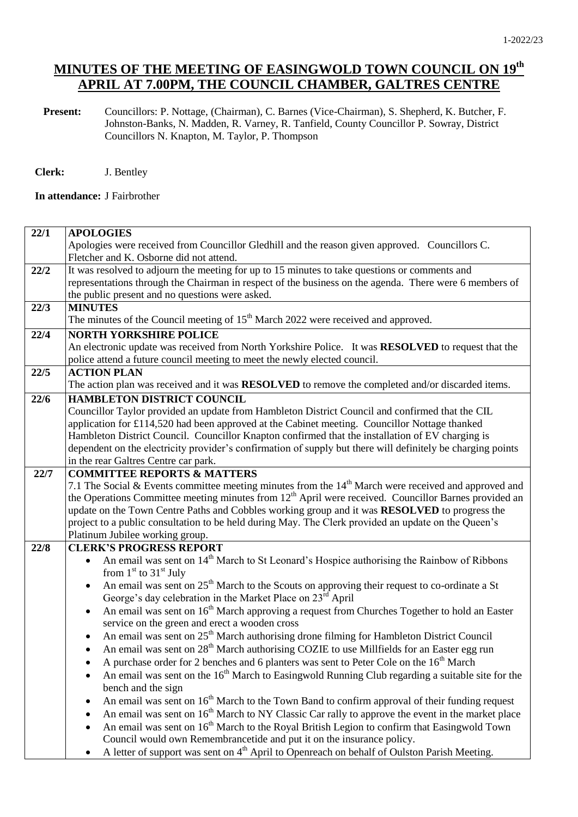**Present:** Councillors: P. Nottage, (Chairman), C. Barnes (Vice-Chairman), S. Shepherd, K. Butcher, F. Johnston-Banks, N. Madden, R. Varney, R. Tanfield, County Councillor P. Sowray, District Councillors N. Knapton, M. Taylor, P. Thompson

**Clerk:** J. Bentley

**In attendance:** J Fairbrother

| 22/1 | <b>APOLOGIES</b>                                                                                                                                 |  |  |  |
|------|--------------------------------------------------------------------------------------------------------------------------------------------------|--|--|--|
|      | Apologies were received from Councillor Gledhill and the reason given approved. Councillors C.                                                   |  |  |  |
|      | Fletcher and K. Osborne did not attend.                                                                                                          |  |  |  |
| 22/2 | It was resolved to adjourn the meeting for up to 15 minutes to take questions or comments and                                                    |  |  |  |
|      | representations through the Chairman in respect of the business on the agenda. There were 6 members of                                           |  |  |  |
|      | the public present and no questions were asked.                                                                                                  |  |  |  |
| 22/3 | <b>MINUTES</b>                                                                                                                                   |  |  |  |
|      | The minutes of the Council meeting of 15 <sup>th</sup> March 2022 were received and approved.                                                    |  |  |  |
| 22/4 | <b>NORTH YORKSHIRE POLICE</b>                                                                                                                    |  |  |  |
|      | An electronic update was received from North Yorkshire Police. It was RESOLVED to request that the                                               |  |  |  |
|      | police attend a future council meeting to meet the newly elected council.                                                                        |  |  |  |
| 22/5 | <b>ACTION PLAN</b>                                                                                                                               |  |  |  |
|      | The action plan was received and it was <b>RESOLVED</b> to remove the completed and/or discarded items.                                          |  |  |  |
| 22/6 | <b>HAMBLETON DISTRICT COUNCIL</b>                                                                                                                |  |  |  |
|      | Councillor Taylor provided an update from Hambleton District Council and confirmed that the CIL                                                  |  |  |  |
|      | application for £114,520 had been approved at the Cabinet meeting. Councillor Nottage thanked                                                    |  |  |  |
|      | Hambleton District Council. Councillor Knapton confirmed that the installation of EV charging is                                                 |  |  |  |
|      | dependent on the electricity provider's confirmation of supply but there will definitely be charging points                                      |  |  |  |
|      | in the rear Galtres Centre car park.                                                                                                             |  |  |  |
| 22/7 | <b>COMMITTEE REPORTS &amp; MATTERS</b><br>7.1 The Social & Events committee meeting minutes from the $14th$ March were received and approved and |  |  |  |
|      | the Operations Committee meeting minutes from 12 <sup>th</sup> April were received. Councillor Barnes provided an                                |  |  |  |
|      | update on the Town Centre Paths and Cobbles working group and it was RESOLVED to progress the                                                    |  |  |  |
|      | project to a public consultation to be held during May. The Clerk provided an update on the Queen's                                              |  |  |  |
|      | Platinum Jubilee working group.                                                                                                                  |  |  |  |
| 22/8 | <b>CLERK'S PROGRESS REPORT</b>                                                                                                                   |  |  |  |
|      | An email was sent on 14 <sup>th</sup> March to St Leonard's Hospice authorising the Rainbow of Ribbons<br>$\bullet$                              |  |  |  |
|      | from $1st$ to $31st$ July                                                                                                                        |  |  |  |
|      | An email was sent on $25th$ March to the Scouts on approving their request to co-ordinate a St<br>$\bullet$                                      |  |  |  |
|      | George's day celebration in the Market Place on 23 <sup>rd</sup> April                                                                           |  |  |  |
|      | An email was sent on 16 <sup>th</sup> March approving a request from Churches Together to hold an Easter<br>$\bullet$                            |  |  |  |
|      | service on the green and erect a wooden cross                                                                                                    |  |  |  |
|      | An email was sent on 25 <sup>th</sup> March authorising drone filming for Hambleton District Council<br>$\bullet$                                |  |  |  |
|      | An email was sent on 28 <sup>th</sup> March authorising COZIE to use Millfields for an Easter egg run                                            |  |  |  |
|      | A purchase order for 2 benches and 6 planters was sent to Peter Cole on the 16 <sup>th</sup> March                                               |  |  |  |
|      | An email was sent on the $16th$ March to Easingwold Running Club regarding a suitable site for the<br>$\bullet$                                  |  |  |  |
|      | bench and the sign                                                                                                                               |  |  |  |
|      | An email was sent on 16 <sup>th</sup> March to the Town Band to confirm approval of their funding request                                        |  |  |  |
|      | An email was sent on 16 <sup>th</sup> March to NY Classic Car rally to approve the event in the market place                                     |  |  |  |
|      | An email was sent on 16 <sup>th</sup> March to the Royal British Legion to confirm that Easingwold Town                                          |  |  |  |
|      | Council would own Remembrancetide and put it on the insurance policy.                                                                            |  |  |  |
|      | A letter of support was sent on 4 <sup>th</sup> April to Openreach on behalf of Oulston Parish Meeting.                                          |  |  |  |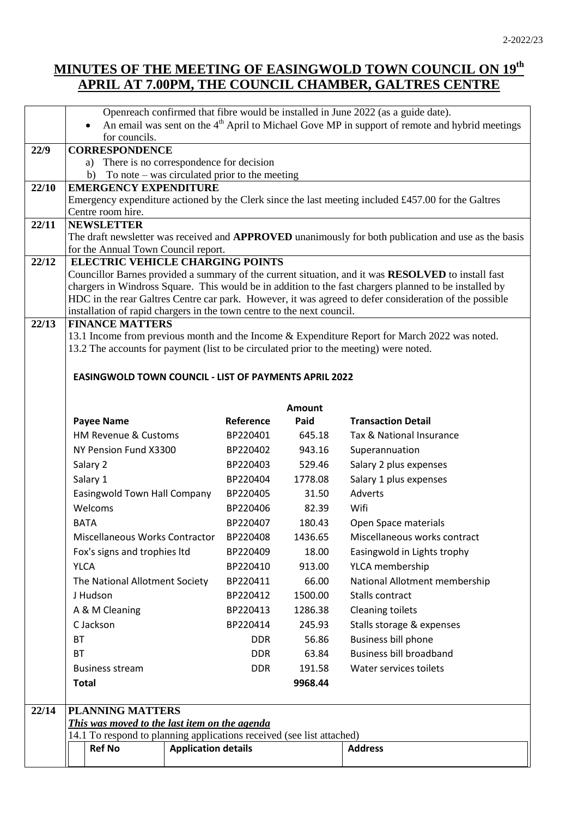|       | Openreach confirmed that fibre would be installed in June 2022 (as a guide date).<br>An email was sent on the $4th$ April to Michael Gove MP in support of remote and hybrid meetings                        |            |               |                                                                                                        |  |
|-------|--------------------------------------------------------------------------------------------------------------------------------------------------------------------------------------------------------------|------------|---------------|--------------------------------------------------------------------------------------------------------|--|
|       | for councils.                                                                                                                                                                                                |            |               |                                                                                                        |  |
| 22/9  | <b>CORRESPONDENCE</b>                                                                                                                                                                                        |            |               |                                                                                                        |  |
|       | a) There is no correspondence for decision                                                                                                                                                                   |            |               |                                                                                                        |  |
| 22/10 | To note $-$ was circulated prior to the meeting<br>b)<br><b>EMERGENCY EXPENDITURE</b>                                                                                                                        |            |               |                                                                                                        |  |
|       |                                                                                                                                                                                                              |            |               | Emergency expenditure actioned by the Clerk since the last meeting included £457.00 for the Galtres    |  |
|       | Centre room hire.                                                                                                                                                                                            |            |               |                                                                                                        |  |
| 22/11 | <b>NEWSLETTER</b>                                                                                                                                                                                            |            |               |                                                                                                        |  |
|       | The draft newsletter was received and <b>APPROVED</b> unanimously for both publication and use as the basis                                                                                                  |            |               |                                                                                                        |  |
|       | for the Annual Town Council report.                                                                                                                                                                          |            |               |                                                                                                        |  |
| 22/12 | <b>ELECTRIC VEHICLE CHARGING POINTS</b>                                                                                                                                                                      |            |               |                                                                                                        |  |
|       | Councillor Barnes provided a summary of the current situation, and it was RESOLVED to install fast<br>chargers in Windross Square. This would be in addition to the fast chargers planned to be installed by |            |               |                                                                                                        |  |
|       |                                                                                                                                                                                                              |            |               | HDC in the rear Galtres Centre car park. However, it was agreed to defer consideration of the possible |  |
|       | installation of rapid chargers in the town centre to the next council.                                                                                                                                       |            |               |                                                                                                        |  |
| 22/13 | <b>FINANCE MATTERS</b>                                                                                                                                                                                       |            |               |                                                                                                        |  |
|       |                                                                                                                                                                                                              |            |               | 13.1 Income from previous month and the Income & Expenditure Report for March 2022 was noted.          |  |
|       | 13.2 The accounts for payment (list to be circulated prior to the meeting) were noted.                                                                                                                       |            |               |                                                                                                        |  |
|       |                                                                                                                                                                                                              |            |               |                                                                                                        |  |
|       | <b>EASINGWOLD TOWN COUNCIL - LIST OF PAYMENTS APRIL 2022</b>                                                                                                                                                 |            |               |                                                                                                        |  |
|       |                                                                                                                                                                                                              |            |               |                                                                                                        |  |
|       |                                                                                                                                                                                                              |            | <b>Amount</b> |                                                                                                        |  |
|       | <b>Payee Name</b>                                                                                                                                                                                            | Reference  | Paid          | <b>Transaction Detail</b>                                                                              |  |
|       | HM Revenue & Customs                                                                                                                                                                                         | BP220401   | 645.18        | Tax & National Insurance                                                                               |  |
|       | NY Pension Fund X3300                                                                                                                                                                                        | BP220402   | 943.16        | Superannuation                                                                                         |  |
|       | Salary 2                                                                                                                                                                                                     | BP220403   | 529.46        | Salary 2 plus expenses                                                                                 |  |
|       | Salary 1                                                                                                                                                                                                     | BP220404   | 1778.08       | Salary 1 plus expenses                                                                                 |  |
|       | Easingwold Town Hall Company                                                                                                                                                                                 | BP220405   | 31.50         | <b>Adverts</b>                                                                                         |  |
|       | Welcoms                                                                                                                                                                                                      | BP220406   | 82.39         | Wifi                                                                                                   |  |
|       | <b>BATA</b>                                                                                                                                                                                                  | BP220407   | 180.43        | Open Space materials                                                                                   |  |
|       | Miscellaneous Works Contractor                                                                                                                                                                               | BP220408   | 1436.65       | Miscellaneous works contract                                                                           |  |
|       | Fox's signs and trophies Itd                                                                                                                                                                                 | BP220409   | 18.00         | Easingwold in Lights trophy                                                                            |  |
|       | <b>YLCA</b>                                                                                                                                                                                                  | BP220410   | 913.00        | YLCA membership                                                                                        |  |
|       | The National Allotment Society                                                                                                                                                                               | BP220411   | 66.00         | National Allotment membership                                                                          |  |
|       | J Hudson                                                                                                                                                                                                     | BP220412   | 1500.00       | <b>Stalls contract</b>                                                                                 |  |
|       | A & M Cleaning                                                                                                                                                                                               | BP220413   | 1286.38       | <b>Cleaning toilets</b>                                                                                |  |
|       | C Jackson                                                                                                                                                                                                    | BP220414   | 245.93        | Stalls storage & expenses                                                                              |  |
|       | <b>BT</b>                                                                                                                                                                                                    | <b>DDR</b> | 56.86         | Business bill phone                                                                                    |  |
|       | <b>BT</b>                                                                                                                                                                                                    | <b>DDR</b> | 63.84         | <b>Business bill broadband</b>                                                                         |  |
|       | <b>Business stream</b>                                                                                                                                                                                       | <b>DDR</b> | 191.58        | Water services toilets                                                                                 |  |
|       | <b>Total</b>                                                                                                                                                                                                 |            | 9968.44       |                                                                                                        |  |
|       |                                                                                                                                                                                                              |            |               |                                                                                                        |  |
| 22/14 | <b>PLANNING MATTERS</b>                                                                                                                                                                                      |            |               |                                                                                                        |  |
|       | This was moved to the last item on the agenda                                                                                                                                                                |            |               |                                                                                                        |  |
|       | 14.1 To respond to planning applications received (see list attached)                                                                                                                                        |            |               |                                                                                                        |  |
|       | <b>Application details</b><br><b>Ref No</b>                                                                                                                                                                  |            |               | <b>Address</b>                                                                                         |  |
|       |                                                                                                                                                                                                              |            |               |                                                                                                        |  |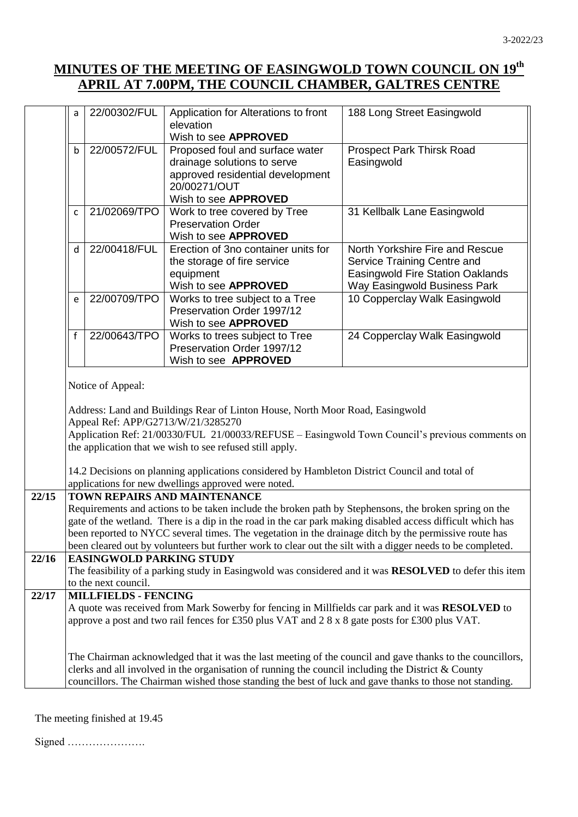|       | a                                                                                                                                                                                                                   | 22/00302/FUL                    | Application for Alterations to front<br>elevation                                                       | 188 Long Street Easingwold                                                                                |  |  |
|-------|---------------------------------------------------------------------------------------------------------------------------------------------------------------------------------------------------------------------|---------------------------------|---------------------------------------------------------------------------------------------------------|-----------------------------------------------------------------------------------------------------------|--|--|
|       |                                                                                                                                                                                                                     |                                 | Wish to see APPROVED                                                                                    |                                                                                                           |  |  |
|       | b                                                                                                                                                                                                                   | 22/00572/FUL                    | Proposed foul and surface water                                                                         | <b>Prospect Park Thirsk Road</b>                                                                          |  |  |
|       |                                                                                                                                                                                                                     |                                 | drainage solutions to serve                                                                             | Easingwold                                                                                                |  |  |
|       |                                                                                                                                                                                                                     |                                 | approved residential development                                                                        |                                                                                                           |  |  |
|       |                                                                                                                                                                                                                     |                                 | 20/00271/OUT                                                                                            |                                                                                                           |  |  |
|       | C                                                                                                                                                                                                                   | 21/02069/TPO                    | Wish to see APPROVED<br>Work to tree covered by Tree                                                    | 31 Kellbalk Lane Easingwold                                                                               |  |  |
|       |                                                                                                                                                                                                                     |                                 | <b>Preservation Order</b>                                                                               |                                                                                                           |  |  |
|       |                                                                                                                                                                                                                     |                                 | Wish to see APPROVED                                                                                    |                                                                                                           |  |  |
|       | d                                                                                                                                                                                                                   | 22/00418/FUL                    | Erection of 3no container units for                                                                     | North Yorkshire Fire and Rescue                                                                           |  |  |
|       |                                                                                                                                                                                                                     |                                 | the storage of fire service                                                                             | Service Training Centre and                                                                               |  |  |
|       |                                                                                                                                                                                                                     |                                 | equipment                                                                                               | <b>Easingwold Fire Station Oaklands</b>                                                                   |  |  |
|       |                                                                                                                                                                                                                     | 22/00709/TPO                    | Wish to see APPROVED<br>Works to tree subject to a Tree                                                 | Way Easingwold Business Park<br>10 Copperclay Walk Easingwold                                             |  |  |
|       | e                                                                                                                                                                                                                   |                                 | Preservation Order 1997/12                                                                              |                                                                                                           |  |  |
|       |                                                                                                                                                                                                                     |                                 | Wish to see APPROVED                                                                                    |                                                                                                           |  |  |
|       | $\mathbf f$                                                                                                                                                                                                         | 22/00643/TPO                    | Works to trees subject to Tree                                                                          | 24 Copperclay Walk Easingwold                                                                             |  |  |
|       |                                                                                                                                                                                                                     |                                 | Preservation Order 1997/12                                                                              |                                                                                                           |  |  |
|       |                                                                                                                                                                                                                     |                                 | Wish to see <b>APPROVED</b>                                                                             |                                                                                                           |  |  |
|       |                                                                                                                                                                                                                     | Notice of Appeal:               |                                                                                                         |                                                                                                           |  |  |
|       |                                                                                                                                                                                                                     |                                 |                                                                                                         |                                                                                                           |  |  |
|       | Address: Land and Buildings Rear of Linton House, North Moor Road, Easingwold<br>Appeal Ref: APP/G2713/W/21/3285270                                                                                                 |                                 |                                                                                                         |                                                                                                           |  |  |
|       |                                                                                                                                                                                                                     |                                 |                                                                                                         |                                                                                                           |  |  |
|       | Application Ref: 21/00330/FUL 21/00033/REFUSE - Easingwold Town Council's previous comments on                                                                                                                      |                                 |                                                                                                         |                                                                                                           |  |  |
|       |                                                                                                                                                                                                                     |                                 | the application that we wish to see refused still apply.                                                |                                                                                                           |  |  |
|       |                                                                                                                                                                                                                     |                                 | 14.2 Decisions on planning applications considered by Hambleton District Council and total of           |                                                                                                           |  |  |
|       |                                                                                                                                                                                                                     |                                 | applications for new dwellings approved were noted.                                                     |                                                                                                           |  |  |
| 22/15 |                                                                                                                                                                                                                     |                                 | TOWN REPAIRS AND MAINTENANCE                                                                            |                                                                                                           |  |  |
|       | Requirements and actions to be taken include the broken path by Stephensons, the broken spring on the                                                                                                               |                                 |                                                                                                         |                                                                                                           |  |  |
|       | gate of the wetland. There is a dip in the road in the car park making disabled access difficult which has                                                                                                          |                                 |                                                                                                         |                                                                                                           |  |  |
|       | been reported to NYCC several times. The vegetation in the drainage ditch by the permissive route has<br>been cleared out by volunteers but further work to clear out the silt with a digger needs to be completed. |                                 |                                                                                                         |                                                                                                           |  |  |
| 22/16 |                                                                                                                                                                                                                     | <b>EASINGWOLD PARKING STUDY</b> |                                                                                                         |                                                                                                           |  |  |
|       | The feasibility of a parking study in Easingwold was considered and it was <b>RESOLVED</b> to defer this item                                                                                                       |                                 |                                                                                                         |                                                                                                           |  |  |
|       |                                                                                                                                                                                                                     | to the next council.            |                                                                                                         |                                                                                                           |  |  |
| 22/17 |                                                                                                                                                                                                                     | <b>MILLFIELDS - FENCING</b>     |                                                                                                         |                                                                                                           |  |  |
|       | A quote was received from Mark Sowerby for fencing in Millfields car park and it was RESOLVED to                                                                                                                    |                                 |                                                                                                         |                                                                                                           |  |  |
|       | approve a post and two rail fences for £350 plus VAT and 2 8 x 8 gate posts for £300 plus VAT.                                                                                                                      |                                 |                                                                                                         |                                                                                                           |  |  |
|       |                                                                                                                                                                                                                     |                                 |                                                                                                         |                                                                                                           |  |  |
|       |                                                                                                                                                                                                                     |                                 |                                                                                                         | The Chairman acknowledged that it was the last meeting of the council and gave thanks to the councillors, |  |  |
|       | clerks and all involved in the organisation of running the council including the District & County                                                                                                                  |                                 |                                                                                                         |                                                                                                           |  |  |
|       |                                                                                                                                                                                                                     |                                 | councillors. The Chairman wished those standing the best of luck and gave thanks to those not standing. |                                                                                                           |  |  |

The meeting finished at 19.45

Signed ………………….